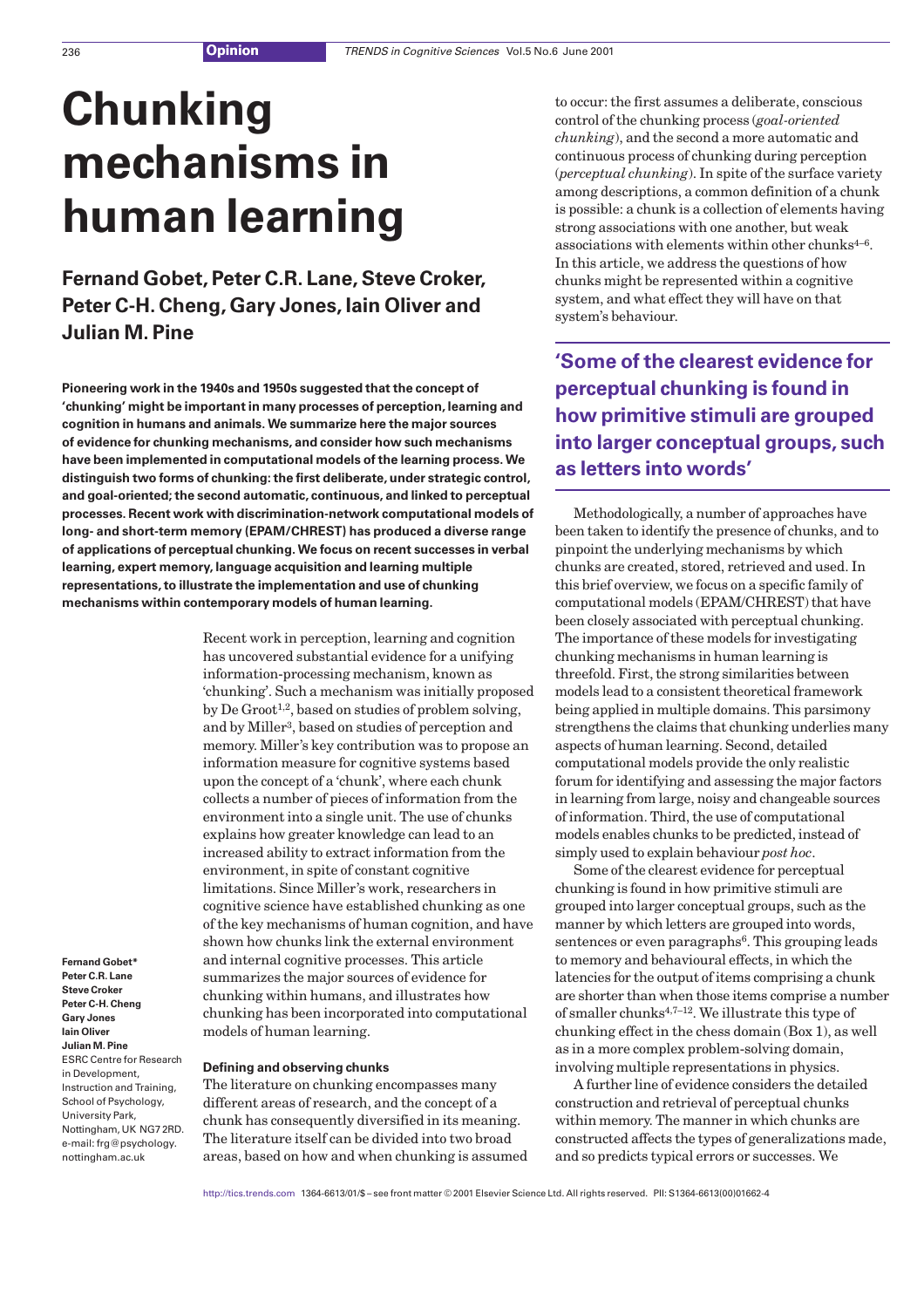# **Chunking mechanisms in human learning**

**Fernand Gobet, Peter C.R. Lane, Steve Croker, Peter C-H. Cheng, Gary Jones, Iain Oliver and Julian M. Pine**

**Pioneering work in the 1940s and 1950s suggested that the concept of 'chunking' might be important in many processes of perception, learning and cognition in humans and animals. We summarize here the major sources of evidence for chunking mechanisms, and consider how such mechanisms have been implemented in computational models of the learning process. We distinguish two forms of chunking: the first deliberate, under strategic control, and goal-oriented; the second automatic, continuous, and linked to perceptual processes. Recent work with discrimination-network computational models of long- and short-term memory (EPAM/CHREST) has produced a diverse range of applications of perceptual chunking. We focus on recent successes in verbal learning, expert memory, language acquisition and learning multiple representations, to illustrate the implementation and use of chunking mechanisms within contemporary models of human learning.**

> Recent work in perception, learning and cognition has uncovered substantial evidence for a unifying information-processing mechanism, known as 'chunking'. Such a mechanism was initially proposed by De Groot<sup>1,2</sup>, based on studies of problem solving, and by Miller3, based on studies of perception and memory. Miller's key contribution was to propose an information measure for cognitive systems based upon the concept of a 'chunk', where each chunk collects a number of pieces of information from the environment into a single unit. The use of chunks explains how greater knowledge can lead to an increased ability to extract information from the environment, in spite of constant cognitive limitations. Since Miller's work, researchers in cognitive science have established chunking as one of the key mechanisms of human cognition, and have shown how chunks link the external environment and internal cognitive processes. This article summarizes the major sources of evidence for chunking within humans, and illustrates how chunking has been incorporated into computational models of human learning.

**Peter C.R. Lane Steve Croker Peter C-H. Cheng Gary Jones Iain Oliver Julian M. Pine** ESRC Centre for Research in Development, Instruction and Training, School of Psychology, University Park, Nottingham, UK NG7 2RD. e-mail: frg@psychology. nottingham.ac.uk

**Fernand Gobet\***

## **Defining and observing chunks**

The literature on chunking encompasses many different areas of research, and the concept of a chunk has consequently diversified in its meaning. The literature itself can be divided into two broad areas, based on how and when chunking is assumed to occur: the first assumes a deliberate, conscious control of the chunking process (*goal-oriented chunking*), and the second a more automatic and continuous process of chunking during perception (*perceptual chunking*). In spite of the surface variety among descriptions, a common definition of a chunk is possible: a chunk is a collection of elements having strong associations with one another, but weak associations with elements within other chunks<sup>4-6</sup>. In this article, we address the questions of how chunks might be represented within a cognitive system, and what effect they will have on that system's behaviour.

**'Some of the clearest evidence for perceptual chunking is found in how primitive stimuli are grouped into larger conceptual groups, such as letters into words'**

Methodologically, a number of approaches have been taken to identify the presence of chunks, and to pinpoint the underlying mechanisms by which chunks are created, stored, retrieved and used. In this brief overview, we focus on a specific family of computational models (EPAM/CHREST) that have been closely associated with perceptual chunking. The importance of these models for investigating chunking mechanisms in human learning is threefold. First, the strong similarities between models lead to a consistent theoretical framework being applied in multiple domains. This parsimony strengthens the claims that chunking underlies many aspects of human learning. Second, detailed computational models provide the only realistic forum for identifying and assessing the major factors in learning from large, noisy and changeable sources of information. Third, the use of computational models enables chunks to be predicted, instead of simply used to explain behaviour *post hoc*.

Some of the clearest evidence for perceptual chunking is found in how primitive stimuli are grouped into larger conceptual groups, such as the manner by which letters are grouped into words, sentences or even paragraphs<sup>6</sup>. This grouping leads to memory and behavioural effects, in which the latencies for the output of items comprising a chunk are shorter than when those items comprise a number of smaller chunks4,7–12. We illustrate this type of chunking effect in the chess domain (Box 1), as well as in a more complex problem-solving domain, involving multiple representations in physics.

A further line of evidence considers the detailed construction and retrieval of perceptual chunks within memory. The manner in which chunks are constructed affects the types of generalizations made, and so predicts typical errors or successes. We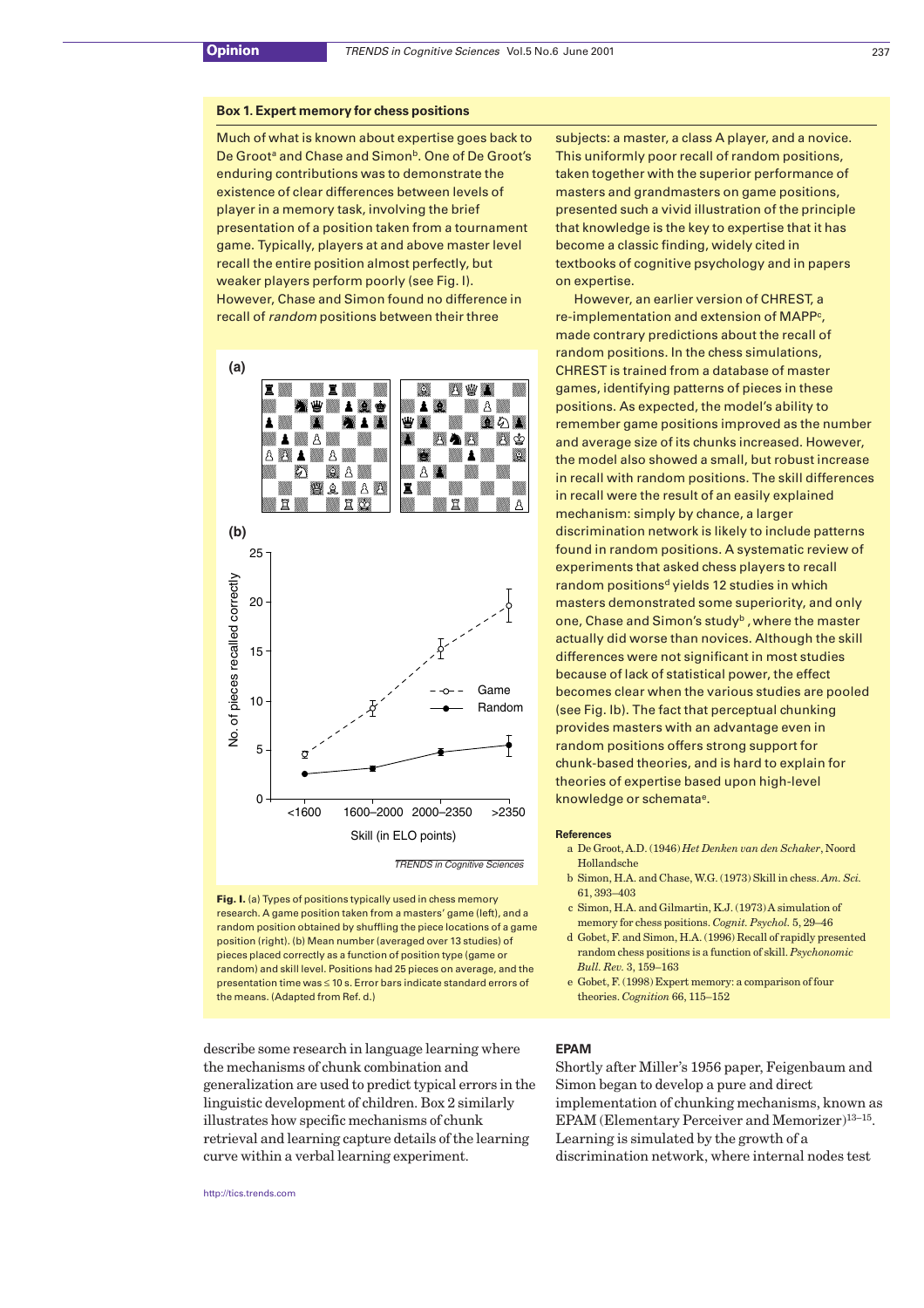#### **Box 1. Expert memory for chess positions**

Much of what is known about expertise goes back to De Groot<sup>a</sup> and Chase and Simon<sup>b</sup>. One of De Groot's enduring contributions was to demonstrate the existence of clear differences between levels of player in a memory task, involving the brief presentation of a position taken from a tournament game. Typically, players at and above master level recall the entire position almost perfectly, but weaker players perform poorly (see Fig. I). However, Chase and Simon found no difference in recall of random positions between their three



**Fig. I.** (a) Types of positions typically used in chess memory research. A game position taken from a masters' game (left), and a random position obtained by shuffling the piece locations of a game position (right). (b) Mean number (averaged over 13 studies) of pieces placed correctly as a function of position type (game or random) and skill level. Positions had 25 pieces on average, and the presentation time was ≤ 10 s. Error bars indicate standard errors of the means. (Adapted from Ref. d.)

describe some research in language learning where the mechanisms of chunk combination and generalization are used to predict typical errors in the linguistic development of children. Box 2 similarly illustrates how specific mechanisms of chunk retrieval and learning capture details of the learning curve within a verbal learning experiment.

subjects: a master, a class A player, and a novice. This uniformly poor recall of random positions, taken together with the superior performance of masters and grandmasters on game positions, presented such a vivid illustration of the principle that knowledge is the key to expertise that it has become a classic finding, widely cited in textbooks of cognitive psychology and in papers on expertise.

However, an earlier version of CHREST, a re-implementation and extension of MAPPc, made contrary predictions about the recall of random positions. In the chess simulations, CHREST is trained from a database of master games, identifying patterns of pieces in these positions. As expected, the model's ability to remember game positions improved as the number and average size of its chunks increased. However, the model also showed a small, but robust increase in recall with random positions. The skill differences in recall were the result of an easily explained mechanism: simply by chance, a larger discrimination network is likely to include patterns found in random positions. A systematic review of experiments that asked chess players to recall random positions<sup>d</sup> yields 12 studies in which masters demonstrated some superiority, and only one, Chase and Simon's study<sup>b</sup>, where the master actually did worse than novices. Although the skill differences were not significant in most studies because of lack of statistical power, the effect becomes clear when the various studies are pooled (see Fig. Ib). The fact that perceptual chunking provides masters with an advantage even in random positions offers strong support for chunk-based theories, and is hard to explain for theories of expertise based upon high-level knowledge or schematae.

#### **References**

- a De Groot, A.D. (1946) *Het Denken van den Schaker*, Noord Hollandsche
- b Simon, H.A. and Chase, W.G. (1973) Skill in chess. *Am. Sci.* 61, 393–403
- c Simon, H.A. and Gilmartin, K.J. (1973) A simulation of memory for chess positions. *Cognit. Psychol.* 5, 29–46
- d Gobet, F. and Simon, H.A. (1996) Recall of rapidly presented random chess positions is a function of skill. *Psychonomic Bull. Rev.* 3, 159–163
- e Gobet, F. (1998) Expert memory: a comparison of four theories. *Cognition* 66, 115–152

#### **EPAM**

Shortly after Miller's 1956 paper, Feigenbaum and Simon began to develop a pure and direct implementation of chunking mechanisms, known as EPAM (Elementary Perceiver and Memorizer)13–15. Learning is simulated by the growth of a discrimination network, where internal nodes test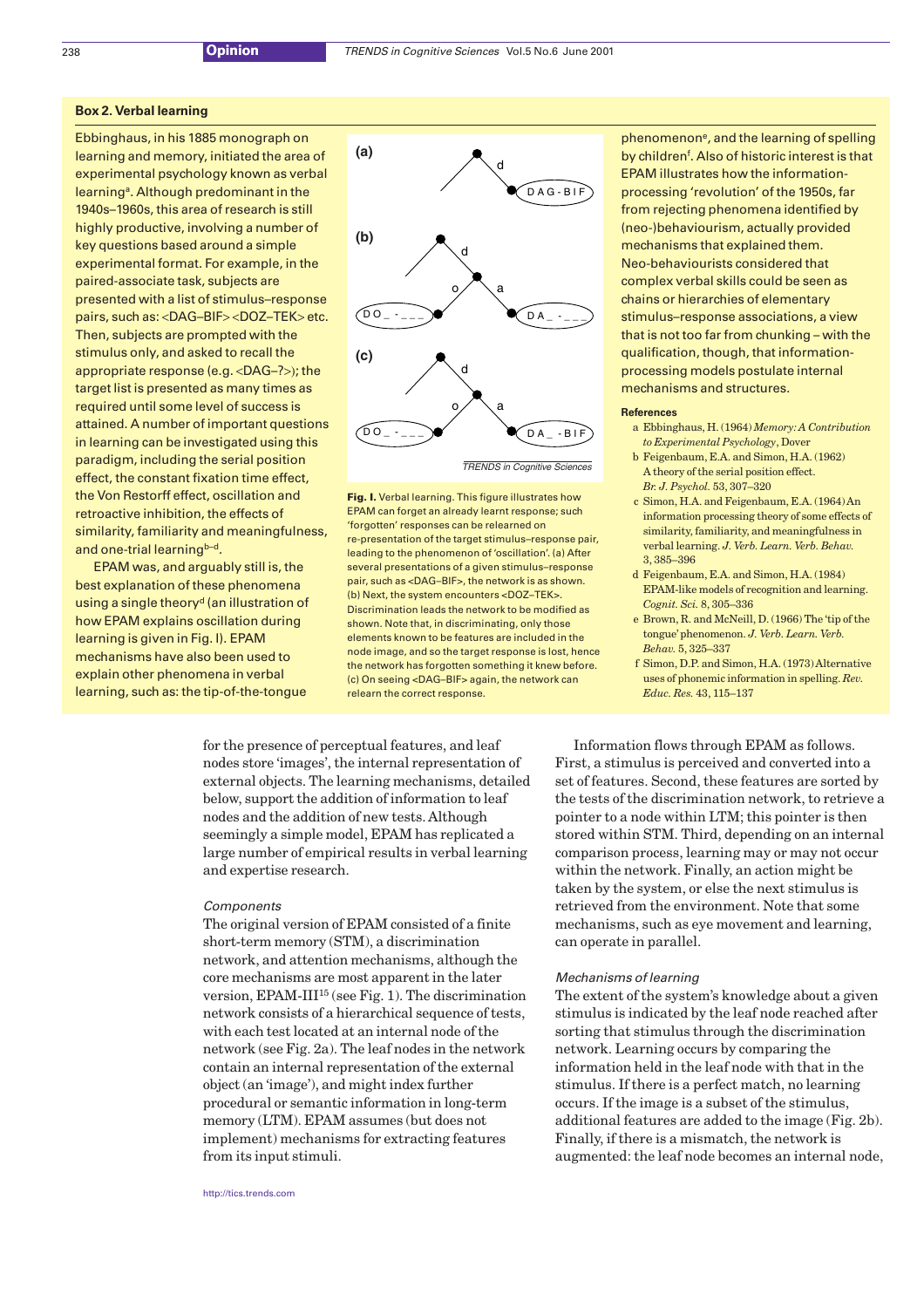#### **Box 2. Verbal learning**

Ebbinghaus, in his 1885 monograph on learning and memory, initiated the area of experimental psychology known as verbal learninga. Although predominant in the 1940s–1960s, this area of research is still highly productive, involving a number of key questions based around a simple experimental format. For example, in the paired-associate task, subjects are presented with a list of stimulus–response pairs, such as: <DAG–BIF> <DOZ–TEK> etc. Then, subjects are prompted with the stimulus only, and asked to recall the appropriate response (e.g. <DAG–?>); the target list is presented as many times as required until some level of success is attained. A number of important questions in learning can be investigated using this paradigm, including the serial position effect, the constant fixation time effect, the Von Restorff effect, oscillation and retroactive inhibition, the effects of similarity, familiarity and meaningfulness, and one-trial learning<sup>b-d</sup>.

EPAM was, and arguably still is, the best explanation of these phenomena using a single theory<sup>d</sup> (an illustration of how EPAM explains oscillation during learning is given in Fig. I). EPAM mechanisms have also been used to explain other phenomena in verbal learning, such as: the tip-of-the-tongue



**Fig. I.** Verbal learning. This figure illustrates how EPAM can forget an already learnt response; such 'forgotten' responses can be relearned on re-presentation of the target stimulus–response pair, leading to the phenomenon of 'oscillation'. (a) After several presentations of a given stimulus–response pair, such as <DAG–BIF>, the network is as shown. (b) Next, the system encounters <DOZ-TFK> Discrimination leads the network to be modified as shown. Note that, in discriminating, only those elements known to be features are included in the node image, and so the target response is lost, hence the network has forgotten something it knew before. (c) On seeing <DAG–BIF> again, the network can relearn the correct response.

for the presence of perceptual features, and leaf nodes store 'images', the internal representation of external objects. The learning mechanisms, detailed below, support the addition of information to leaf nodes and the addition of new tests. Although seemingly a simple model, EPAM has replicated a large number of empirical results in verbal learning and expertise research.

#### **Components**

The original version of EPAM consisted of a finite short-term memory (STM), a discrimination network, and attention mechanisms, although the core mechanisms are most apparent in the later version, EPAM-III15 (see Fig. 1). The discrimination network consists of a hierarchical sequence of tests, with each test located at an internal node of the network (see Fig. 2a). The leaf nodes in the network contain an internal representation of the external object (an 'image'), and might index further procedural or semantic information in long-term memory (LTM). EPAM assumes (but does not implement) mechanisms for extracting features from its input stimuli.

phenomenone, and the learning of spelling by children<sup>f</sup>. Also of historic interest is that EPAM illustrates how the informationprocessing 'revolution' of the 1950s, far from rejecting phenomena identified by (neo-)behaviourism, actually provided mechanisms that explained them. Neo-behaviourists considered that complex verbal skills could be seen as chains or hierarchies of elementary stimulus–response associations, a view that is not too far from chunking – with the qualification, though, that informationprocessing models postulate internal mechanisms and structures.

#### **References**

- a Ebbinghaus, H. (1964) *Memory: A Contribution to Experimental Psychology*, Dover
- b Feigenbaum, E.A. and Simon, H.A. (1962) A theory of the serial position effect. *Br. J. Psychol.* 53, 307–320
- c Simon, H.A. and Feigenbaum, E.A. (1964) An information processing theory of some effects of similarity, familiarity, and meaningfulness in verbal learning. *J. Verb. Learn. Verb. Behav.* 3, 385–396
- d Feigenbaum, E.A. and Simon, H.A. (1984) EPAM-like models of recognition and learning. *Cognit. Sci.* 8, 305–336
- e Brown, R. and McNeill, D. (1966) The 'tip of the tongue'phenomenon. *J. Verb. Learn. Verb. Behav.* 5, 325–337
- f Simon, D.P. and Simon, H.A. (1973) Alternative uses of phonemic information in spelling. *Rev. Educ. Res.* 43, 115–137

Information flows through EPAM as follows. First, a stimulus is perceived and converted into a set of features. Second, these features are sorted by the tests of the discrimination network, to retrieve a pointer to a node within LTM; this pointer is then stored within STM. Third, depending on an internal comparison process, learning may or may not occur within the network. Finally, an action might be taken by the system, or else the next stimulus is retrieved from the environment. Note that some mechanisms, such as eye movement and learning, can operate in parallel.

#### Mechanisms of learning

The extent of the system's knowledge about a given stimulus is indicated by the leaf node reached after sorting that stimulus through the discrimination network. Learning occurs by comparing the information held in the leaf node with that in the stimulus. If there is a perfect match, no learning occurs. If the image is a subset of the stimulus, additional features are added to the image (Fig. 2b). Finally, if there is a mismatch, the network is augmented: the leaf node becomes an internal node,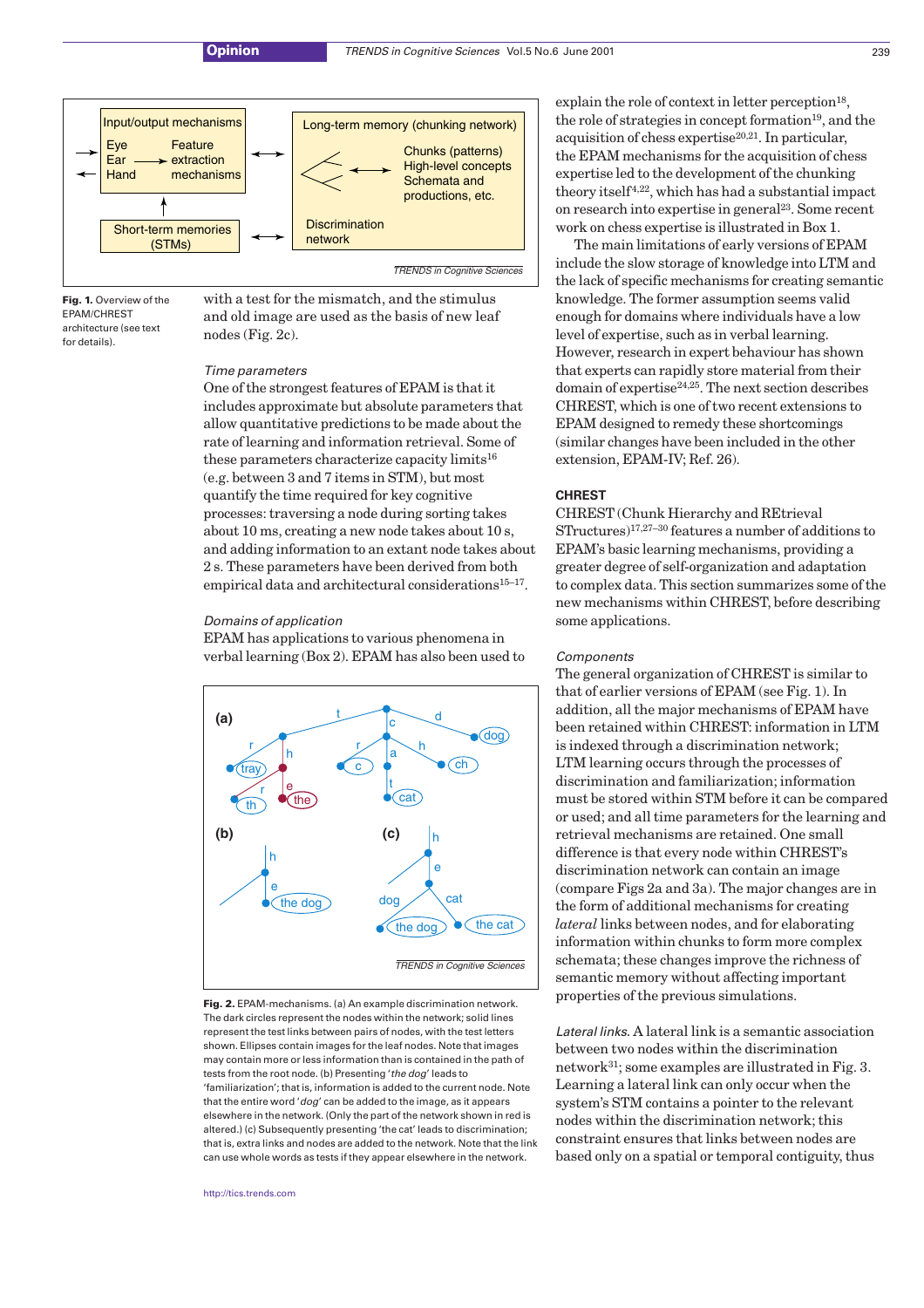

**Fig. 1.** Overview of the EPAM/CHREST architecture (see text for details).

with a test for the mismatch, and the stimulus and old image are used as the basis of new leaf nodes (Fig. 2c).

# Time parameters

One of the strongest features of EPAM is that it includes approximate but absolute parameters that allow quantitative predictions to be made about the rate of learning and information retrieval. Some of these parameters characterize capacity limits<sup>16</sup> (e.g. between 3 and 7 items in STM), but most quantify the time required for key cognitive processes: traversing a node during sorting takes about 10 ms, creating a new node takes about 10 s, and adding information to an extant node takes about 2 s. These parameters have been derived from both empirical data and architectural considerations<sup>15-17</sup>.

#### Domains of application

EPAM has applications to various phenomena in verbal learning (Box 2). EPAM has also been used to



**Fig. 2.** EPAM-mechanisms. (a) An example discrimination network. The dark circles represent the nodes within the network; solid lines represent the test links between pairs of nodes, with the test letters shown. Ellipses contain images for the leaf nodes. Note that images may contain more or less information than is contained in the path of tests from the root node. (b) Presenting 'the dog' leads to 'familiarization'; that is, information is added to the current node. Note that the entire word 'dog' can be added to the image, as it appears elsewhere in the network. (Only the part of the network shown in red is altered.) (c) Subsequently presenting 'the cat' leads to discrimination; that is, extra links and nodes are added to the network. Note that the link can use whole words as tests if they appear elsewhere in the network.

explain the role of context in letter perception $^{18}$ , the role of strategies in concept formation<sup>19</sup>, and the acquisition of chess expertise $^{20,21}$ . In particular, the EPAM mechanisms for the acquisition of chess expertise led to the development of the chunking theory itself 4,22, which has had a substantial impact on research into expertise in general23. Some recent work on chess expertise is illustrated in Box 1.

The main limitations of early versions of EPAM include the slow storage of knowledge into LTM and the lack of specific mechanisms for creating semantic knowledge. The former assumption seems valid enough for domains where individuals have a low level of expertise, such as in verbal learning. However, research in expert behaviour has shown that experts can rapidly store material from their  $domain of expertise<sup>24,25</sup>. The next section describes$ CHREST, which is one of two recent extensions to EPAM designed to remedy these shortcomings (similar changes have been included in the other extension, EPAM-IV; Ref. 26).

#### **CHREST**

CHREST (Chunk Hierarchy and REtrieval STructures)17,27–30 features a number of additions to EPAM's basic learning mechanisms, providing a greater degree of self-organization and adaptation to complex data. This section summarizes some of the new mechanisms within CHREST, before describing some applications.

#### **Components**

The general organization of CHREST is similar to that of earlier versions of EPAM (see Fig. 1). In addition, all the major mechanisms of EPAM have been retained within CHREST: information in LTM is indexed through a discrimination network; LTM learning occurs through the processes of discrimination and familiarization; information must be stored within STM before it can be compared or used; and all time parameters for the learning and retrieval mechanisms are retained. One small difference is that every node within CHREST's discrimination network can contain an image (compare Figs 2a and 3a). The major changes are in the form of additional mechanisms for creating *lateral* links between nodes, and for elaborating information within chunks to form more complex schemata; these changes improve the richness of semantic memory without affecting important properties of the previous simulations.

Lateral links. A lateral link is a semantic association between two nodes within the discrimination network31; some examples are illustrated in Fig. 3. Learning a lateral link can only occur when the system's STM contains a pointer to the relevant nodes within the discrimination network; this constraint ensures that links between nodes are based only on a spatial or temporal contiguity, thus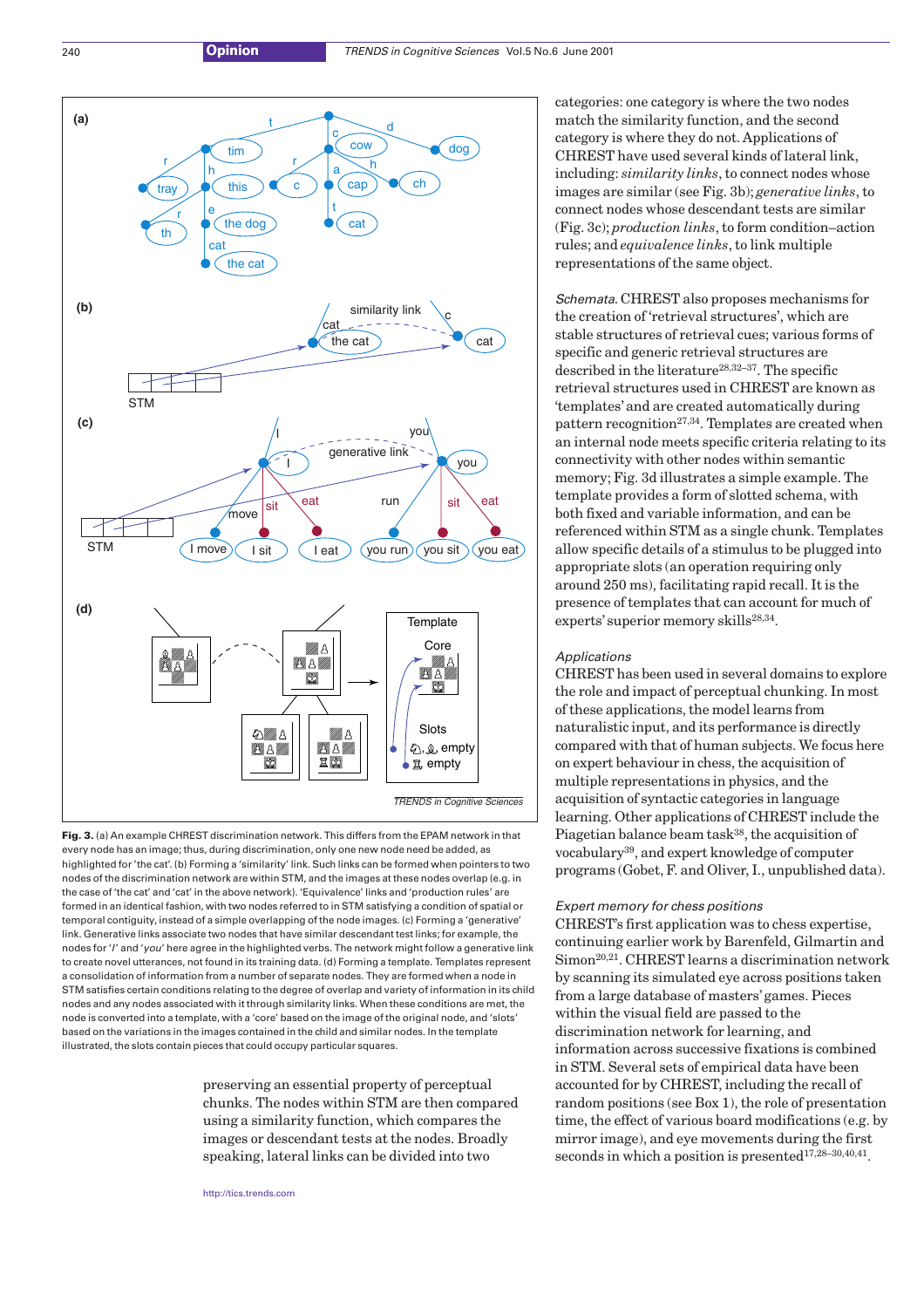

**Fig. 3.** (a) An example CHREST discrimination network. This differs from the EPAM network in that every node has an image; thus, during discrimination, only one new node need be added, as highlighted for 'the cat'. (b) Forming a 'similarity' link. Such links can be formed when pointers to two nodes of the discrimination network are within STM, and the images at these nodes overlap (e.g. in the case of 'the cat' and 'cat' in the above network). 'Equivalence' links and 'production rules' are formed in an identical fashion, with two nodes referred to in STM satisfying a condition of spatial or temporal contiguity, instead of a simple overlapping of the node images. (c) Forming a 'generative' link. Generative links associate two nodes that have similar descendant test links; for example, the nodes for 'I' and 'you' here agree in the highlighted verbs. The network might follow a generative link to create novel utterances, not found in its training data. (d) Forming a template. Templates represent a consolidation of information from a number of separate nodes. They are formed when a node in STM satisfies certain conditions relating to the degree of overlap and variety of information in its child nodes and any nodes associated with it through similarity links. When these conditions are met, the node is converted into a template, with a 'core' based on the image of the original node, and 'slots' based on the variations in the images contained in the child and similar nodes. In the template illustrated, the slots contain pieces that could occupy particular squares.

preserving an essential property of perceptual chunks. The nodes within STM are then compared using a similarity function, which compares the images or descendant tests at the nodes. Broadly speaking, lateral links can be divided into two

categories: one category is where the two nodes match the similarity function, and the second category is where they do not. Applications of CHREST have used several kinds of lateral link, including: *similarity links*, to connect nodes whose images are similar (see Fig. 3b); *generative links*, to connect nodes whose descendant tests are similar (Fig. 3c); *production links*, to form condition–action rules; and *equivalence links*, to link multiple representations of the same object.

Schemata. CHREST also proposes mechanisms for the creation of 'retrieval structures', which are stable structures of retrieval cues; various forms of specific and generic retrieval structures are described in the literature28,32–37. The specific retrieval structures used in CHREST are known as 'templates'and are created automatically during pattern recognition<sup>27,34</sup>. Templates are created when an internal node meets specific criteria relating to its connectivity with other nodes within semantic memory; Fig. 3d illustrates a simple example. The template provides a form of slotted schema, with both fixed and variable information, and can be referenced within STM as a single chunk. Templates allow specific details of a stimulus to be plugged into appropriate slots (an operation requiring only around 250 ms), facilitating rapid recall. It is the presence of templates that can account for much of experts' superior memory skills<sup>28,34</sup>.

#### Applications

CHREST has been used in several domains to explore the role and impact of perceptual chunking. In most of these applications, the model learns from naturalistic input, and its performance is directly compared with that of human subjects. We focus here on expert behaviour in chess, the acquisition of multiple representations in physics, and the acquisition of syntactic categories in language learning. Other applications of CHREST include the Piagetian balance beam task<sup>38</sup>, the acquisition of vocabulary39, and expert knowledge of computer programs (Gobet, F. and Oliver, I., unpublished data).

#### Expert memory for chess positions

CHREST's first application was to chess expertise, continuing earlier work by Barenfeld, Gilmartin and Simon20,21. CHREST learns a discrimination network by scanning its simulated eye across positions taken from a large database of masters'games. Pieces within the visual field are passed to the discrimination network for learning, and information across successive fixations is combined in STM. Several sets of empirical data have been accounted for by CHREST, including the recall of random positions (see Box 1), the role of presentation time, the effect of various board modifications (e.g. by mirror image), and eye movements during the first seconds in which a position is presented<sup>17,28-30,40,41</sup>.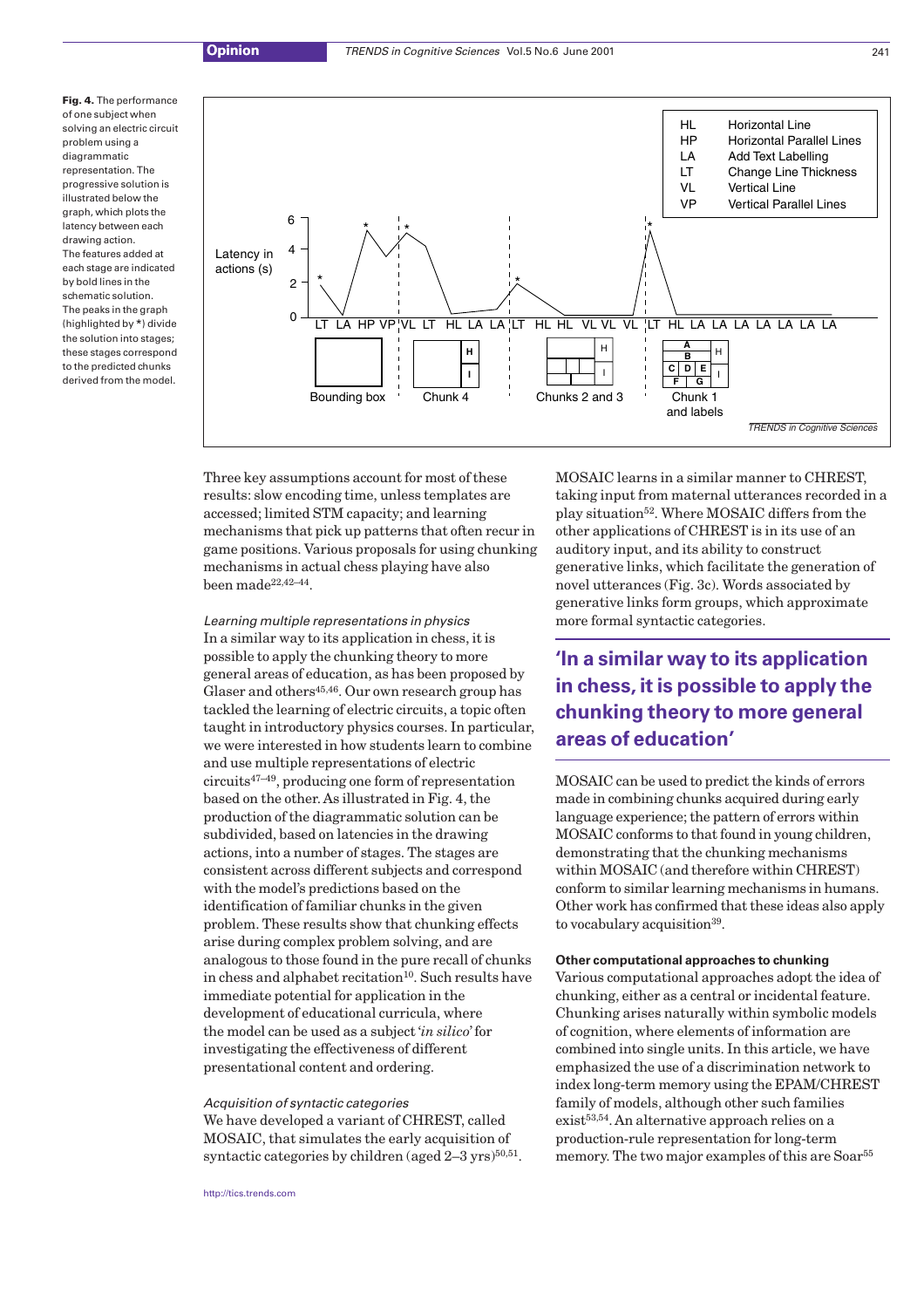**Fig. 4.** The performance of one subject when solving an electric circuit problem using a diagrammatic representation. The progressive solution is illustrated below the graph, which plots the latency between each drawing action. The features added at each stage are indicated by bold lines in the schematic solution. The peaks in the graph (highlighted by \*) divide the solution into stages; these stages correspond to the predicted chunks derived from the model.



Three key assumptions account for most of these results: slow encoding time, unless templates are accessed; limited STM capacity; and learning mechanisms that pick up patterns that often recur in game positions. Various proposals for using chunking mechanisms in actual chess playing have also been made<sup>22,42-44</sup>.

Learning multiple representations in physics In a similar way to its application in chess, it is possible to apply the chunking theory to more general areas of education, as has been proposed by Glaser and others $45,46$ . Our own research group has tackled the learning of electric circuits, a topic often taught in introductory physics courses. In particular, we were interested in how students learn to combine and use multiple representations of electric circuits47–49, producing one form of representation based on the other. As illustrated in Fig. 4, the production of the diagrammatic solution can be subdivided, based on latencies in the drawing actions, into a number of stages. The stages are consistent across different subjects and correspond with the model's predictions based on the identification of familiar chunks in the given problem. These results show that chunking effects arise during complex problem solving, and are analogous to those found in the pure recall of chunks in chess and alphabet recitation<sup>10</sup>. Such results have immediate potential for application in the development of educational curricula, where the model can be used as a subject '*in silico*'for investigating the effectiveness of different presentational content and ordering.

Acquisition of syntactic categories We have developed a variant of CHREST, called MOSAIC, that simulates the early acquisition of syntactic categories by children (aged 2-3 yrs)<sup>50,51</sup>. MOSAIC learns in a similar manner to CHREST, taking input from maternal utterances recorded in a play situation<sup>52</sup>. Where MOSAIC differs from the other applications of CHREST is in its use of an auditory input, and its ability to construct generative links, which facilitate the generation of novel utterances (Fig. 3c). Words associated by generative links form groups, which approximate more formal syntactic categories.

# **'In a similar way to its application in chess, it is possible to apply the chunking theory to more general areas of education'**

MOSAIC can be used to predict the kinds of errors made in combining chunks acquired during early language experience; the pattern of errors within MOSAIC conforms to that found in young children, demonstrating that the chunking mechanisms within MOSAIC (and therefore within CHREST) conform to similar learning mechanisms in humans. Other work has confirmed that these ideas also apply to vocabulary acquisition<sup>39</sup>.

### **Other computational approaches to chunking**

Various computational approaches adopt the idea of chunking, either as a central or incidental feature. Chunking arises naturally within symbolic models of cognition, where elements of information are combined into single units. In this article, we have emphasized the use of a discrimination network to index long-term memory using the EPAM/CHREST family of models, although other such families  $exist^{53,54}$ . An alternative approach relies on a production-rule representation for long-term memory. The two major examples of this are Soar<sup>55</sup>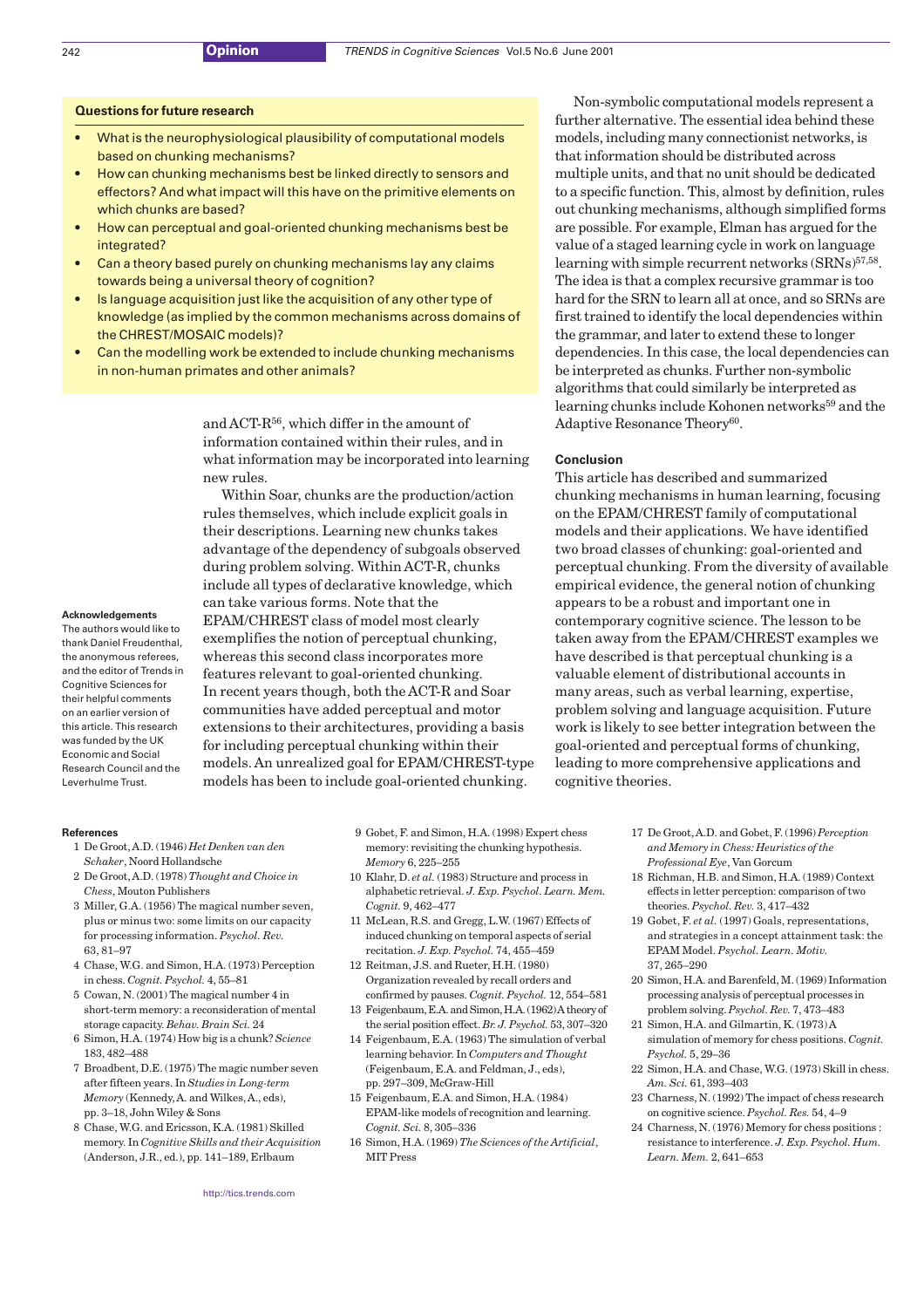#### **Questions for future research**

- What is the neurophysiological plausibility of computational models based on chunking mechanisms?
- How can chunking mechanisms best be linked directly to sensors and effectors? And what impact will this have on the primitive elements on which chunks are based?
- How can perceptual and goal-oriented chunking mechanisms best be integrated?
- Can a theory based purely on chunking mechanisms lay any claims towards being a universal theory of cognition?
- Is language acquisition just like the acquisition of any other type of knowledge (as implied by the common mechanisms across domains of the CHREST/MOSAIC models)?
- Can the modelling work be extended to include chunking mechanisms in non-human primates and other animals?

and ACT-R56, which differ in the amount of information contained within their rules, and in what information may be incorporated into learning new rules.

Within Soar, chunks are the production/action rules themselves, which include explicit goals in their descriptions. Learning new chunks takes advantage of the dependency of subgoals observed during problem solving. Within ACT-R, chunks include all types of declarative knowledge, which can take various forms. Note that the EPAM/CHREST class of model most clearly exemplifies the notion of perceptual chunking, whereas this second class incorporates more features relevant to goal-oriented chunking. In recent years though, both the ACT-R and Soar communities have added perceptual and motor extensions to their architectures, providing a basis for including perceptual chunking within their models. An unrealized goal for EPAM/CHREST-type models has been to include goal-oriented chunking.

Non-symbolic computational models represent a further alternative. The essential idea behind these models, including many connectionist networks, is that information should be distributed across multiple units, and that no unit should be dedicated to a specific function. This, almost by definition, rules out chunking mechanisms, although simplified forms are possible. For example, Elman has argued for the value of a staged learning cycle in work on language learning with simple recurrent networks (SRNs)<sup>57,58</sup>. The idea is that a complex recursive grammar is too hard for the SRN to learn all at once, and so SRNs are first trained to identify the local dependencies within the grammar, and later to extend these to longer dependencies. In this case, the local dependencies can be interpreted as chunks. Further non-symbolic algorithms that could similarly be interpreted as learning chunks include Kohonen networks<sup>59</sup> and the Adaptive Resonance Theory<sup>60</sup>.

#### **Conclusion**

This article has described and summarized chunking mechanisms in human learning, focusing on the EPAM/CHREST family of computational models and their applications. We have identified two broad classes of chunking: goal-oriented and perceptual chunking. From the diversity of available empirical evidence, the general notion of chunking appears to be a robust and important one in contemporary cognitive science. The lesson to be taken away from the EPAM/CHREST examples we have described is that perceptual chunking is a valuable element of distributional accounts in many areas, such as verbal learning, expertise, problem solving and language acquisition. Future work is likely to see better integration between the goal-oriented and perceptual forms of chunking, leading to more comprehensive applications and cognitive theories.

# **Acknowledgements**

The authors would like to thank Daniel Freudenthal, the anonymous referees, and the editor of Trends in Cognitive Sciences for their helpful comments on an earlier version of this article. This research was funded by the UK Economic and Social Research Council and the Leverhulme Trust.

#### **References**

- 1 De Groot, A.D. (1946) *Het Denken van den Schaker*, Noord Hollandsche
- 2 De Groot, A.D. (1978) *Thought and Choice in Chess*, Mouton Publishers
- 3 Miller, G.A. (1956) The magical number seven, plus or minus two: some limits on our capacity for processing information. *Psychol. Rev.* 63, 81–97
- 4 Chase, W.G. and Simon, H.A. (1973) Perception in chess. *Cognit. Psychol.* 4, 55–81
- 5 Cowan, N. (2001) The magical number 4 in short-term memory: a reconsideration of mental storage capacity. *Behav. Brain Sci.* 24
- 6 Simon, H.A. (1974) How big is a chunk? *Science* 183, 482–488
- 7 Broadbent, D.E. (1975) The magic number seven after fifteen years. In *Studies in Long-term Memory* (Kennedy, A. and Wilkes, A., eds), pp. 3–18, John Wiley & Sons
- 8 Chase, W.G. and Ericsson, K.A. (1981) Skilled memory. In *Cognitive Skills and their Acquisition* (Anderson, J.R., ed.), pp. 141–189, Erlbaum
- 9 Gobet, F. and Simon, H.A. (1998) Expert chess memory: revisiting the chunking hypothesis. *Memory* 6, 225–255
- 10 Klahr, D. *et al.* (1983) Structure and process in alphabetic retrieval. *J. Exp. Psychol. Learn. Mem. Cognit.* 9, 462–477
- 11 McLean, R.S. and Gregg, L.W. (1967) Effects of induced chunking on temporal aspects of serial recitation. *J. Exp. Psychol.* 74, 455–459
- 12 Reitman, J.S. and Rueter, H.H. (1980) Organization revealed by recall orders and confirmed by pauses. *Cognit. Psychol.* 12, 554–581
- 13 Feigenbaum, E.A. and Simon, H.A. (1962) Atheory of the serial position effect. *Br. J. Psychol.* 53, 307–320
- 14 Feigenbaum, E.A. (1963) The simulation of verbal learning behavior. In *Computers and Thought* (Feigenbaum, E.A. and Feldman, J., eds), pp. 297–309, McGraw-Hill
- 15 Feigenbaum, E.A. and Simon, H.A. (1984) EPAM-like models of recognition and learning. *Cognit. Sci.* 8, 305–336
- 16 Simon, H.A. (1969) *The Sciences of the Artificial*, MIT Press
- 17 De Groot, A.D. and Gobet, F. (1996) *Perception and Memory in Chess: Heuristics of the Professional Eye*, Van Gorcum
- 18 Richman, H.B. and Simon, H.A. (1989) Context effects in letter perception: comparison of two theories. *Psychol. Rev.* 3, 417–432
- 19 Gobet, F. *et al.* (1997) Goals, representations, and strategies in a concept attainment task: the EPAM Model. *Psychol. Learn. Motiv.* 37, 265–290
- 20 Simon, H.A. and Barenfeld, M. (1969) Information processing analysis of perceptual processes in problem solving. *Psychol. Rev.* 7, 473–483
- 21 Simon, H.A. and Gilmartin, K. (1973) A simulation of memory for chess positions. *Cognit. Psychol.* 5, 29–36
- 22 Simon, H.A. and Chase, W.G. (1973) Skill in chess. *Am. Sci.* 61, 393–403
- 23 Charness, N. (1992) The impact of chess research on cognitive science. *Psychol. Res.* 54, 4–9
- 24 Charness, N. (1976) Memory for chess positions : resistance to interference. *J. Exp. Psychol. Hum. Learn. Mem.* 2, 641–653